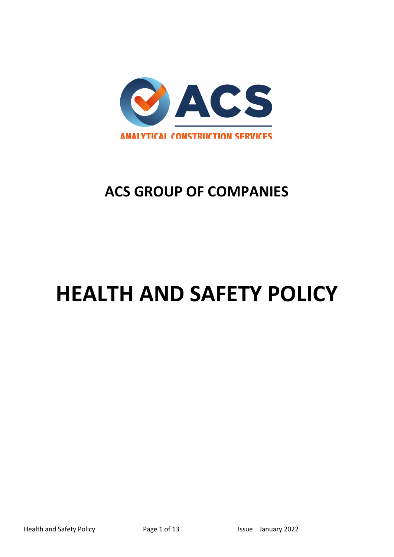**ACS GROUP OF COMPANIES**

# **HEALTH AND SAFETY POLICY**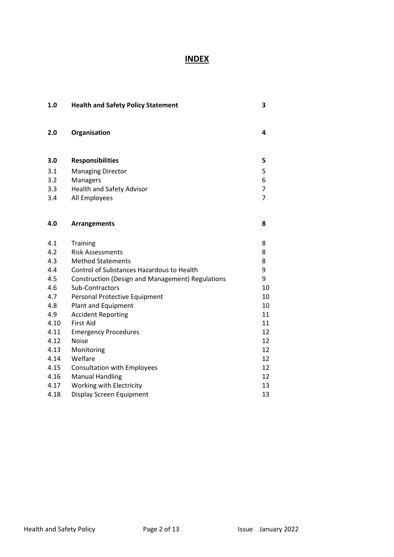# **INDEX**

| 1.0  | <b>Health and Safety Policy Statement</b>               | 3              |
|------|---------------------------------------------------------|----------------|
| 2.0  | Organisation                                            | 4              |
| 3.0  | <b>Responsibilities</b>                                 | 5              |
| 3.1  | <b>Managing Director</b>                                | 5              |
| 3.2  | Managers                                                | 6              |
| 3.3  | <b>Health and Safety Advisor</b>                        | $\overline{7}$ |
| 3.4  | All Employees                                           | $\overline{7}$ |
|      |                                                         |                |
| 4.0  | <b>Arrangements</b>                                     | 8              |
| 4.1  | Training                                                | 8              |
| 4.2  | <b>Risk Assessments</b>                                 | 8              |
| 4.3  | <b>Method Statements</b>                                | 8              |
| 4.4  | Control of Substances Hazardous to Health               | 9              |
| 4.5  | <b>Construction (Design and Management) Regulations</b> | 9              |
| 4.6  | Sub-Contractors                                         | 10             |
| 4.7  | Personal Protective Equipment                           | 10             |
| 4.8  | Plant and Equipment                                     | 10             |
| 4.9  | <b>Accident Reporting</b>                               | 11             |
| 4.10 | <b>First Aid</b>                                        | 11             |
| 4.11 | <b>Emergency Procedures</b>                             | 12             |
| 4.12 | <b>Noise</b>                                            | 12             |
| 4.13 | Monitoring                                              | 12             |
| 4.14 | Welfare                                                 | 12             |
| 4.15 | <b>Consultation with Employees</b>                      | 12             |
| 4.16 | <b>Manual Handling</b>                                  | 12             |
| 4.17 | Working with Electricity                                | 13             |
| 4.18 | <b>Display Screen Equipment</b>                         | 13             |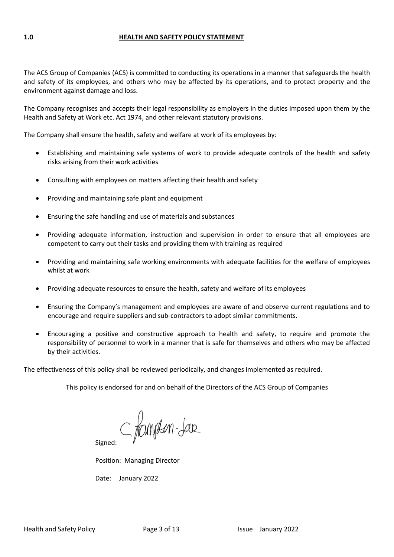#### **1.0 HEALTH AND SAFETY POLICY STATEMENT**

The ACS Group of Companies (ACS) is committed to conducting its operations in a manner that safeguards the health and safety of its employees, and others who may be affected by its operations, and to protect property and the environment against damage and loss.

The Company recognises and accepts their legal responsibility as employers in the duties imposed upon them by the Health and Safety at Work etc. Act 1974, and other relevant statutory provisions.

The Company shall ensure the health, safety and welfare at work of its employees by:

- Establishing and maintaining safe systems of work to provide adequate controls of the health and safety risks arising from their work activities
- Consulting with employees on matters affecting their health and safety
- Providing and maintaining safe plant and equipment
- Ensuring the safe handling and use of materials and substances
- Providing adequate information, instruction and supervision in order to ensure that all employees are competent to carry out their tasks and providing them with training as required
- Providing and maintaining safe working environments with adequate facilities for the welfare of employees whilst at work
- Providing adequate resources to ensure the health, safety and welfare of its employees
- Ensuring the Company's management and employees are aware of and observe current regulations and to encourage and require suppliers and sub-contractors to adopt similar commitments.
- Encouraging a positive and constructive approach to health and safety, to require and promote the responsibility of personnel to work in a manner that is safe for themselves and others who may be affected by their activities.

The effectiveness of this policy shall be reviewed periodically, and changes implemented as required.

This policy is endorsed for and on behalf of the Directors of the ACS Group of Companies

C. fampen-Jar

Signed:

Position: Managing Director

Date: January 2022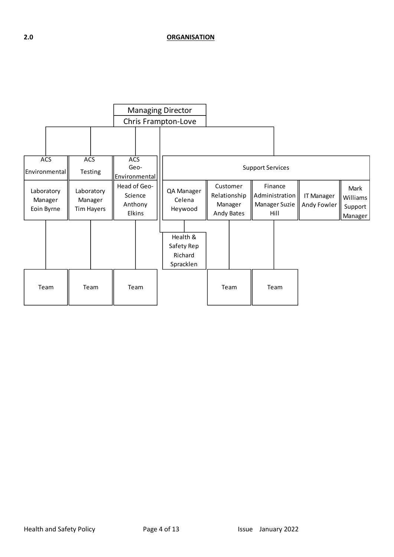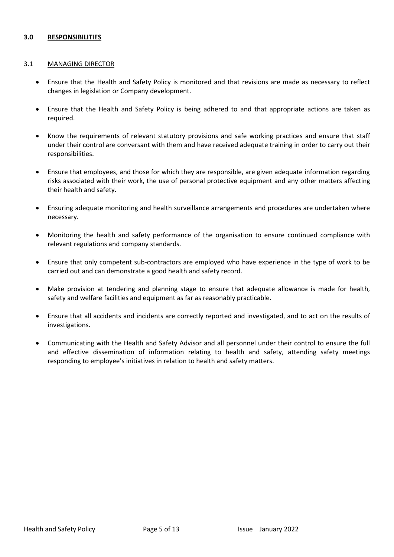# **3.0 RESPONSIBILITIES**

# 3.1 MANAGING DIRECTOR

- Ensure that the Health and Safety Policy is monitored and that revisions are made as necessary to reflect changes in legislation or Company development.
- Ensure that the Health and Safety Policy is being adhered to and that appropriate actions are taken as required.
- Know the requirements of relevant statutory provisions and safe working practices and ensure that staff under their control are conversant with them and have received adequate training in order to carry out their responsibilities.
- Ensure that employees, and those for which they are responsible, are given adequate information regarding risks associated with their work, the use of personal protective equipment and any other matters affecting their health and safety.
- Ensuring adequate monitoring and health surveillance arrangements and procedures are undertaken where necessary.
- Monitoring the health and safety performance of the organisation to ensure continued compliance with relevant regulations and company standards.
- Ensure that only competent sub-contractors are employed who have experience in the type of work to be carried out and can demonstrate a good health and safety record.
- Make provision at tendering and planning stage to ensure that adequate allowance is made for health, safety and welfare facilities and equipment as far as reasonably practicable.
- Ensure that all accidents and incidents are correctly reported and investigated, and to act on the results of investigations.
- Communicating with the Health and Safety Advisor and all personnel under their control to ensure the full and effective dissemination of information relating to health and safety, attending safety meetings responding to employee's initiatives in relation to health and safety matters.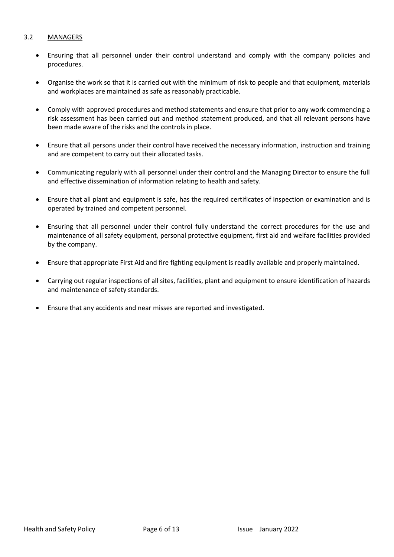# 3.2 MANAGERS

- Ensuring that all personnel under their control understand and comply with the company policies and procedures.
- Organise the work so that it is carried out with the minimum of risk to people and that equipment, materials and workplaces are maintained as safe as reasonably practicable.
- Comply with approved procedures and method statements and ensure that prior to any work commencing a risk assessment has been carried out and method statement produced, and that all relevant persons have been made aware of the risks and the controls in place.
- Ensure that all persons under their control have received the necessary information, instruction and training and are competent to carry out their allocated tasks.
- Communicating regularly with all personnel under their control and the Managing Director to ensure the full and effective dissemination of information relating to health and safety.
- Ensure that all plant and equipment is safe, has the required certificates of inspection or examination and is operated by trained and competent personnel.
- Ensuring that all personnel under their control fully understand the correct procedures for the use and maintenance of all safety equipment, personal protective equipment, first aid and welfare facilities provided by the company.
- Ensure that appropriate First Aid and fire fighting equipment is readily available and properly maintained.
- Carrying out regular inspections of all sites, facilities, plant and equipment to ensure identification of hazards and maintenance of safety standards.
- Ensure that any accidents and near misses are reported and investigated.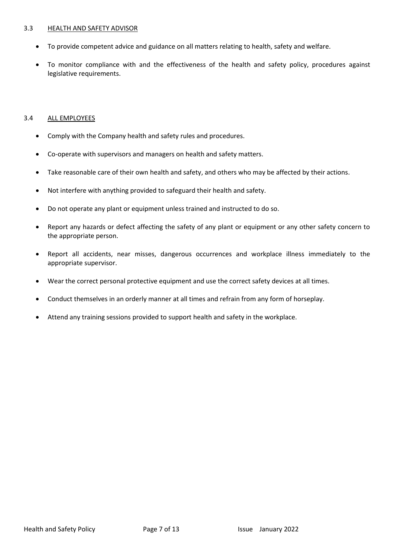#### 3.3 HEALTH AND SAFETY ADVISOR

- To provide competent advice and guidance on all matters relating to health, safety and welfare.
- To monitor compliance with and the effectiveness of the health and safety policy, procedures against legislative requirements.

### 3.4 ALL EMPLOYEES

- Comply with the Company health and safety rules and procedures.
- Co-operate with supervisors and managers on health and safety matters.
- Take reasonable care of their own health and safety, and others who may be affected by their actions.
- Not interfere with anything provided to safeguard their health and safety.
- Do not operate any plant or equipment unless trained and instructed to do so.
- Report any hazards or defect affecting the safety of any plant or equipment or any other safety concern to the appropriate person.
- Report all accidents, near misses, dangerous occurrences and workplace illness immediately to the appropriate supervisor.
- Wear the correct personal protective equipment and use the correct safety devices at all times.
- Conduct themselves in an orderly manner at all times and refrain from any form of horseplay.
- Attend any training sessions provided to support health and safety in the workplace.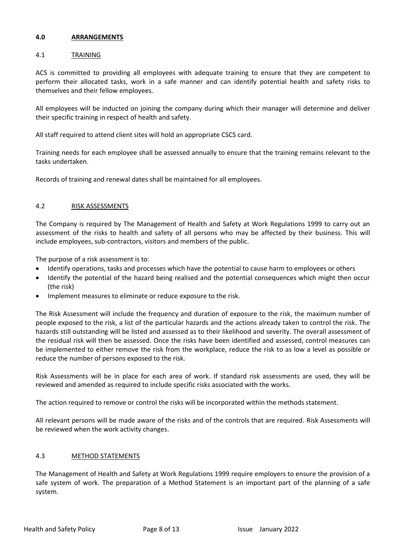# **4.0 ARRANGEMENTS**

# 4.1 TRAINING

ACS is committed to providing all employees with adequate training to ensure that they are competent to perform their allocated tasks, work in a safe manner and can identify potential health and safety risks to themselves and their fellow employees.

All employees will be inducted on joining the company during which their manager will determine and deliver their specific training in respect of health and safety.

All staff required to attend client sites will hold an appropriate CSCS card.

Training needs for each employee shall be assessed annually to ensure that the training remains relevant to the tasks undertaken.

Records of training and renewal dates shall be maintained for all employees.

# 4.2 RISK ASSESSMENTS

The Company is required by The Management of Health and Safety at Work Regulations 1999 to carry out an assessment of the risks to health and safety of all persons who may be affected by their business. This will include employees, sub-contractors, visitors and members of the public.

The purpose of a risk assessment is to:

- Identify operations, tasks and processes which have the potential to cause harm to employees or others
- Identify the potential of the hazard being realised and the potential consequences which might then occur (the risk)
- Implement measures to eliminate or reduce exposure to the risk.

The Risk Assessment will include the frequency and duration of exposure to the risk, the maximum number of people exposed to the risk, a list of the particular hazards and the actions already taken to control the risk. The hazards still outstanding will be listed and assessed as to their likelihood and severity. The overall assessment of the residual risk will then be assessed. Once the risks have been identified and assessed, control measures can be implemented to either remove the risk from the workplace, reduce the risk to as low a level as possible or reduce the number of persons exposed to the risk.

Risk Assessments will be in place for each area of work. If standard risk assessments are used, they will be reviewed and amended as required to include specific risks associated with the works.

The action required to remove or control the risks will be incorporated within the methods statement.

All relevant persons will be made aware of the risks and of the controls that are required. Risk Assessments will be reviewed when the work activity changes.

### 4.3 METHOD STATEMENTS

The Management of Health and Safety at Work Regulations 1999 require employers to ensure the provision of a safe system of work. The preparation of a Method Statement is an important part of the planning of a safe system.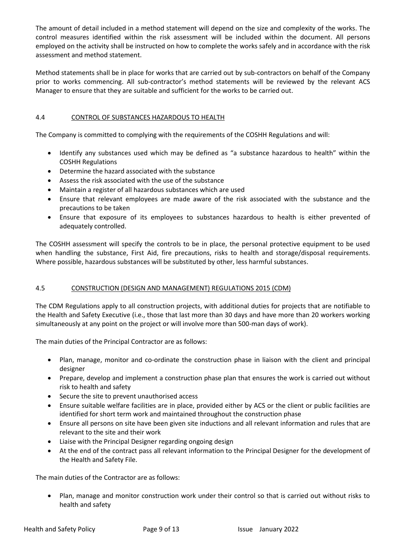The amount of detail included in a method statement will depend on the size and complexity of the works. The control measures identified within the risk assessment will be included within the document. All persons employed on the activity shall be instructed on how to complete the works safely and in accordance with the risk assessment and method statement.

Method statements shall be in place for works that are carried out by sub-contractors on behalf of the Company prior to works commencing. All sub-contractor's method statements will be reviewed by the relevant ACS Manager to ensure that they are suitable and sufficient for the works to be carried out.

# 4.4 CONTROL OF SUBSTANCES HAZARDOUS TO HEALTH

The Company is committed to complying with the requirements of the COSHH Regulations and will:

- Identify any substances used which may be defined as "a substance hazardous to health" within the COSHH Regulations
- Determine the hazard associated with the substance
- Assess the risk associated with the use of the substance
- Maintain a register of all hazardous substances which are used
- Ensure that relevant employees are made aware of the risk associated with the substance and the precautions to be taken
- Ensure that exposure of its employees to substances hazardous to health is either prevented of adequately controlled.

The COSHH assessment will specify the controls to be in place, the personal protective equipment to be used when handling the substance, First Aid, fire precautions, risks to health and storage/disposal requirements. Where possible, hazardous substances will be substituted by other, less harmful substances.

# 4.5 CONSTRUCTION (DESIGN AND MANAGEMENT) REGULATIONS 2015 (CDM)

The CDM Regulations apply to all construction projects, with additional duties for projects that are notifiable to the Health and Safety Executive (i.e., those that last more than 30 days and have more than 20 workers working simultaneously at any point on the project or will involve more than 500-man days of work).

The main duties of the Principal Contractor are as follows:

- Plan, manage, monitor and co-ordinate the construction phase in liaison with the client and principal designer
- Prepare, develop and implement a construction phase plan that ensures the work is carried out without risk to health and safety
- Secure the site to prevent unauthorised access
- Ensure suitable welfare facilities are in place, provided either by ACS or the client or public facilities are identified for short term work and maintained throughout the construction phase
- Ensure all persons on site have been given site inductions and all relevant information and rules that are relevant to the site and their work
- Liaise with the Principal Designer regarding ongoing design
- At the end of the contract pass all relevant information to the Principal Designer for the development of the Health and Safety File.

The main duties of the Contractor are as follows:

• Plan, manage and monitor construction work under their control so that is carried out without risks to health and safety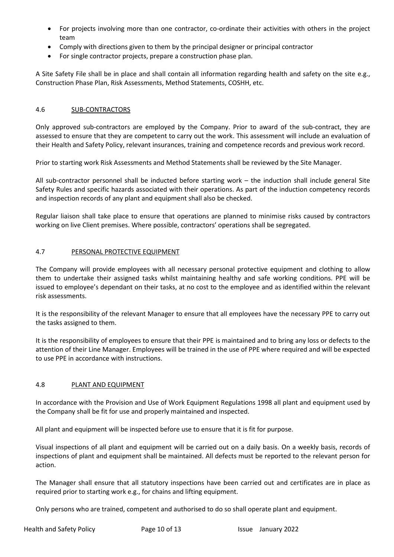- For projects involving more than one contractor, co-ordinate their activities with others in the project team
- Comply with directions given to them by the principal designer or principal contractor
- For single contractor projects, prepare a construction phase plan.

A Site Safety File shall be in place and shall contain all information regarding health and safety on the site e.g., Construction Phase Plan, Risk Assessments, Method Statements, COSHH, etc.

# 4.6 SUB-CONTRACTORS

Only approved sub-contractors are employed by the Company. Prior to award of the sub-contract, they are assessed to ensure that they are competent to carry out the work. This assessment will include an evaluation of their Health and Safety Policy, relevant insurances, training and competence records and previous work record.

Prior to starting work Risk Assessments and Method Statements shall be reviewed by the Site Manager.

All sub-contractor personnel shall be inducted before starting work – the induction shall include general Site Safety Rules and specific hazards associated with their operations. As part of the induction competency records and inspection records of any plant and equipment shall also be checked.

Regular liaison shall take place to ensure that operations are planned to minimise risks caused by contractors working on live Client premises. Where possible, contractors' operations shall be segregated.

# 4.7 PERSONAL PROTECTIVE EQUIPMENT

The Company will provide employees with all necessary personal protective equipment and clothing to allow them to undertake their assigned tasks whilst maintaining healthy and safe working conditions. PPE will be issued to employee's dependant on their tasks, at no cost to the employee and as identified within the relevant risk assessments.

It is the responsibility of the relevant Manager to ensure that all employees have the necessary PPE to carry out the tasks assigned to them.

It is the responsibility of employees to ensure that their PPE is maintained and to bring any loss or defects to the attention of their Line Manager. Employees will be trained in the use of PPE where required and will be expected to use PPE in accordance with instructions.

# 4.8 PLANT AND EQUIPMENT

In accordance with the Provision and Use of Work Equipment Regulations 1998 all plant and equipment used by the Company shall be fit for use and properly maintained and inspected.

All plant and equipment will be inspected before use to ensure that it is fit for purpose.

Visual inspections of all plant and equipment will be carried out on a daily basis. On a weekly basis, records of inspections of plant and equipment shall be maintained. All defects must be reported to the relevant person for action.

The Manager shall ensure that all statutory inspections have been carried out and certificates are in place as required prior to starting work e.g., for chains and lifting equipment.

Only persons who are trained, competent and authorised to do so shall operate plant and equipment.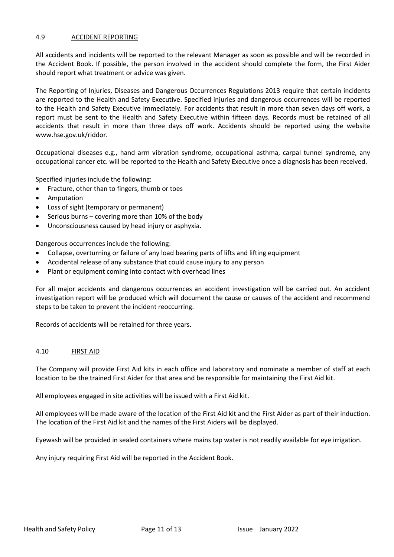### 4.9 ACCIDENT REPORTING

All accidents and incidents will be reported to the relevant Manager as soon as possible and will be recorded in the Accident Book. If possible, the person involved in the accident should complete the form, the First Aider should report what treatment or advice was given.

The Reporting of Injuries, Diseases and Dangerous Occurrences Regulations 2013 require that certain incidents are reported to the Health and Safety Executive. Specified injuries and dangerous occurrences will be reported to the Health and Safety Executive immediately. For accidents that result in more than seven days off work, a report must be sent to the Health and Safety Executive within fifteen days. Records must be retained of all accidents that result in more than three days off work. Accidents should be reported using the website www.hse.gov.uk/riddor.

Occupational diseases e.g., hand arm vibration syndrome, occupational asthma, carpal tunnel syndrome, any occupational cancer etc. will be reported to the Health and Safety Executive once a diagnosis has been received.

Specified injuries include the following:

- Fracture, other than to fingers, thumb or toes
- Amputation
- Loss of sight (temporary or permanent)
- Serious burns covering more than 10% of the body
- Unconsciousness caused by head injury or asphyxia.

Dangerous occurrences include the following:

- Collapse, overturning or failure of any load bearing parts of lifts and lifting equipment
- Accidental release of any substance that could cause injury to any person
- Plant or equipment coming into contact with overhead lines

For all major accidents and dangerous occurrences an accident investigation will be carried out. An accident investigation report will be produced which will document the cause or causes of the accident and recommend steps to be taken to prevent the incident reoccurring.

Records of accidents will be retained for three years.

# 4.10 FIRST AID

The Company will provide First Aid kits in each office and laboratory and nominate a member of staff at each location to be the trained First Aider for that area and be responsible for maintaining the First Aid kit.

All employees engaged in site activities will be issued with a First Aid kit.

All employees will be made aware of the location of the First Aid kit and the First Aider as part of their induction. The location of the First Aid kit and the names of the First Aiders will be displayed.

Eyewash will be provided in sealed containers where mains tap water is not readily available for eye irrigation.

Any injury requiring First Aid will be reported in the Accident Book.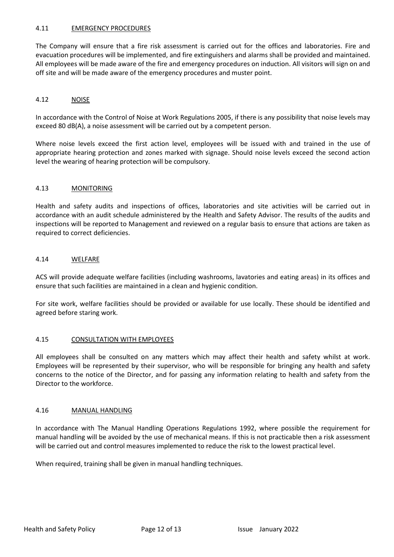# 4.11 EMERGENCY PROCEDURES

The Company will ensure that a fire risk assessment is carried out for the offices and laboratories. Fire and evacuation procedures will be implemented, and fire extinguishers and alarms shall be provided and maintained. All employees will be made aware of the fire and emergency procedures on induction. All visitors will sign on and off site and will be made aware of the emergency procedures and muster point.

# 4.12 NOISE

In accordance with the Control of Noise at Work Regulations 2005, if there is any possibility that noise levels may exceed 80 dB(A), a noise assessment will be carried out by a competent person.

Where noise levels exceed the first action level, employees will be issued with and trained in the use of appropriate hearing protection and zones marked with signage. Should noise levels exceed the second action level the wearing of hearing protection will be compulsory.

### 4.13 MONITORING

Health and safety audits and inspections of offices, laboratories and site activities will be carried out in accordance with an audit schedule administered by the Health and Safety Advisor. The results of the audits and inspections will be reported to Management and reviewed on a regular basis to ensure that actions are taken as required to correct deficiencies.

### 4.14 WELFARE

ACS will provide adequate welfare facilities (including washrooms, lavatories and eating areas) in its offices and ensure that such facilities are maintained in a clean and hygienic condition.

For site work, welfare facilities should be provided or available for use locally. These should be identified and agreed before staring work.

### 4.15 CONSULTATION WITH EMPLOYEES

All employees shall be consulted on any matters which may affect their health and safety whilst at work. Employees will be represented by their supervisor, who will be responsible for bringing any health and safety concerns to the notice of the Director, and for passing any information relating to health and safety from the Director to the workforce.

### 4.16 MANUAL HANDLING

In accordance with The Manual Handling Operations Regulations 1992, where possible the requirement for manual handling will be avoided by the use of mechanical means. If this is not practicable then a risk assessment will be carried out and control measures implemented to reduce the risk to the lowest practical level.

When required, training shall be given in manual handling techniques.